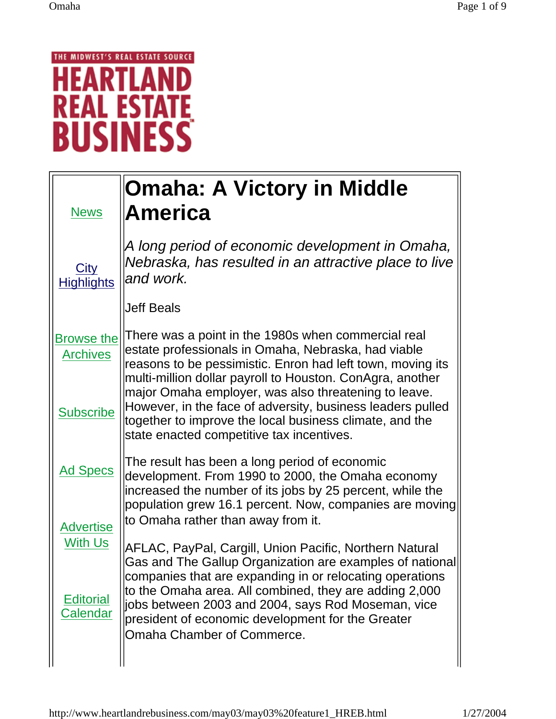## THE MIDWEST'S REAL ESTATE SOURCE **HEARTLAI** D Ν **REAL ESTATE**

| <b>News</b>                             | <b>Omaha: A Victory in Middle</b><br>America                                                                                                                                                                                                                                                                                                                                       |
|-----------------------------------------|------------------------------------------------------------------------------------------------------------------------------------------------------------------------------------------------------------------------------------------------------------------------------------------------------------------------------------------------------------------------------------|
| <b>City</b><br><b>Highlights</b>        | A long period of economic development in Omaha,<br>Nebraska, has resulted in an attractive place to live<br>and work.                                                                                                                                                                                                                                                              |
|                                         | <b>Jeff Beals</b>                                                                                                                                                                                                                                                                                                                                                                  |
| <b>Browse the</b><br><b>Archives</b>    | There was a point in the 1980s when commercial real<br>estate professionals in Omaha, Nebraska, had viable<br>reasons to be pessimistic. Enron had left town, moving its<br>multi-million dollar payroll to Houston. ConAgra, another                                                                                                                                              |
| <b>Subscribe</b>                        | major Omaha employer, was also threatening to leave.<br>However, in the face of adversity, business leaders pulled<br>together to improve the local business climate, and the<br>state enacted competitive tax incentives.                                                                                                                                                         |
| <b>Ad Specs</b>                         | The result has been a long period of economic<br>development. From 1990 to 2000, the Omaha economy<br>increased the number of its jobs by 25 percent, while the<br>population grew 16.1 percent. Now, companies are moving                                                                                                                                                         |
| <b>Advertise</b>                        | to Omaha rather than away from it.                                                                                                                                                                                                                                                                                                                                                 |
| With Us<br><b>Editorial</b><br>Calendar | AFLAC, PayPal, Cargill, Union Pacific, Northern Natural<br>Gas and The Gallup Organization are examples of national<br>companies that are expanding in or relocating operations<br>to the Omaha area. All combined, they are adding 2,000<br>jobs between 2003 and 2004, says Rod Moseman, vice<br>president of economic development for the Greater<br>Omaha Chamber of Commerce. |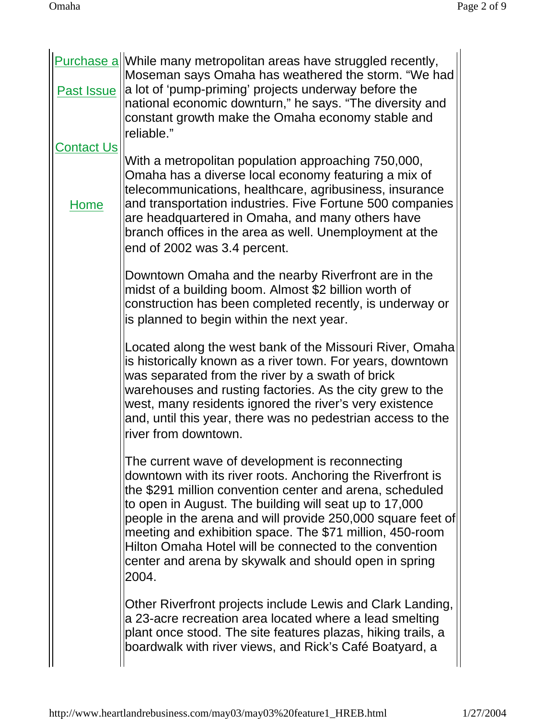| <b>Contact Us</b> | Purchase a While many metropolitan areas have struggled recently,<br>Moseman says Omaha has weathered the storm. "We had<br>Past Issue   a lot of 'pump-priming' projects underway before the<br>national economic downturn," he says. "The diversity and<br>constant growth make the Omaha economy stable and<br>lreliable."                                                                                                                                                              |
|-------------------|--------------------------------------------------------------------------------------------------------------------------------------------------------------------------------------------------------------------------------------------------------------------------------------------------------------------------------------------------------------------------------------------------------------------------------------------------------------------------------------------|
| Home              | With a metropolitan population approaching 750,000,<br>Omaha has a diverse local economy featuring a mix of<br>telecommunications, healthcare, agribusiness, insurance<br>and transportation industries. Five Fortune 500 companies<br>are headquartered in Omaha, and many others have<br>branch offices in the area as well. Unemployment at the<br>end of 2002 was 3.4 percent.                                                                                                         |
|                   | Downtown Omaha and the nearby Riverfront are in the<br>midst of a building boom. Almost \$2 billion worth of<br>construction has been completed recently, is underway or<br>is planned to begin within the next year.                                                                                                                                                                                                                                                                      |
|                   | Located along the west bank of the Missouri River, Omaha<br>is historically known as a river town. For years, downtown<br>was separated from the river by a swath of brick<br>warehouses and rusting factories. As the city grew to the<br>west, many residents ignored the river's very existence<br>and, until this year, there was no pedestrian access to the<br>lriver from downtown.                                                                                                 |
|                   | The current wave of development is reconnecting<br>downtown with its river roots. Anchoring the Riverfront is<br>the \$291 million convention center and arena, scheduled<br>to open in August. The building will seat up to 17,000<br>people in the arena and will provide 250,000 square feet of<br>meeting and exhibition space. The \$71 million, 450-room<br>Hilton Omaha Hotel will be connected to the convention<br>center and arena by skywalk and should open in spring<br>2004. |
|                   | Other Riverfront projects include Lewis and Clark Landing,<br>a 23-acre recreation area located where a lead smelting<br>plant once stood. The site features plazas, hiking trails, a<br>boardwalk with river views, and Rick's Café Boatyard, a                                                                                                                                                                                                                                           |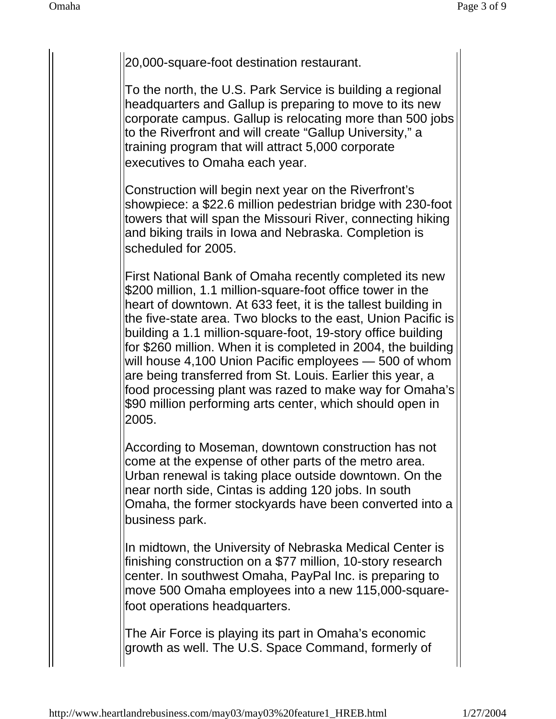20,000-square-foot destination restaurant.

To the north, the U.S. Park Service is building a regional headquarters and Gallup is preparing to move to its new corporate campus. Gallup is relocating more than 500 jobs to the Riverfront and will create "Gallup University," a training program that will attract 5,000 corporate executives to Omaha each year.

Construction will begin next year on the Riverfront's showpiece: a \$22.6 million pedestrian bridge with 230-foot towers that will span the Missouri River, connecting hiking and biking trails in Iowa and Nebraska. Completion is scheduled for 2005.

First National Bank of Omaha recently completed its new \$200 million, 1.1 million-square-foot office tower in the heart of downtown. At 633 feet, it is the tallest building in the five-state area. Two blocks to the east, Union Pacific is building a 1.1 million-square-foot, 19-story office building for \$260 million. When it is completed in 2004, the building will house 4,100 Union Pacific employees — 500 of whom are being transferred from St. Louis. Earlier this year, a food processing plant was razed to make way for Omaha's \$90 million performing arts center, which should open in 2005.

According to Moseman, downtown construction has not come at the expense of other parts of the metro area. Urban renewal is taking place outside downtown. On the near north side, Cintas is adding 120 jobs. In south Omaha, the former stockyards have been converted into a business park.

In midtown, the University of Nebraska Medical Center is finishing construction on a \$77 million, 10-story research center. In southwest Omaha, PayPal Inc. is preparing to move 500 Omaha employees into a new 115,000-squarefoot operations headquarters.

The Air Force is playing its part in Omaha's economic growth as well. The U.S. Space Command, formerly of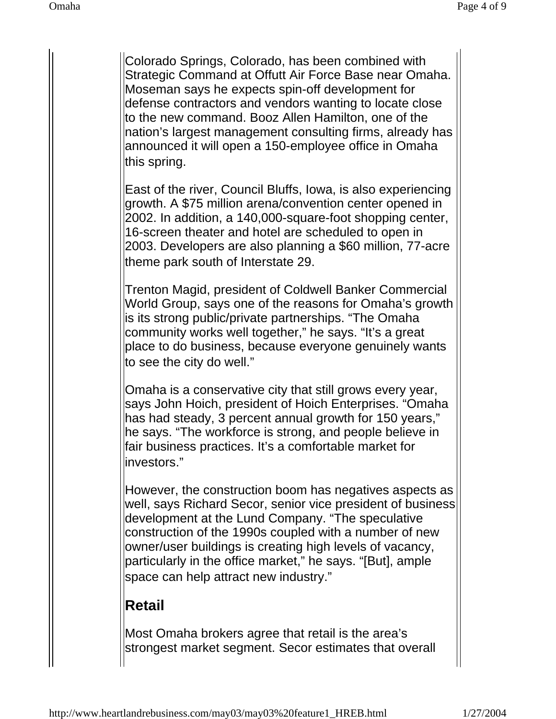Colorado Springs, Colorado, has been combined with Strategic Command at Offutt Air Force Base near Omaha. Moseman says he expects spin-off development for defense contractors and vendors wanting to locate close to the new command. Booz Allen Hamilton, one of the nation's largest management consulting firms, already has announced it will open a 150-employee office in Omaha this spring.

East of the river, Council Bluffs, Iowa, is also experiencing growth. A \$75 million arena/convention center opened in 2002. In addition, a 140,000-square-foot shopping center, 16-screen theater and hotel are scheduled to open in 2003. Developers are also planning a \$60 million, 77-acre theme park south of Interstate 29.

Trenton Magid, president of Coldwell Banker Commercial World Group, says one of the reasons for Omaha's growth is its strong public/private partnerships. "The Omaha community works well together," he says. "It's a great place to do business, because everyone genuinely wants to see the city do well."

Omaha is a conservative city that still grows every year, says John Hoich, president of Hoich Enterprises. "Omaha has had steady, 3 percent annual growth for 150 years," he says. "The workforce is strong, and people believe in fair business practices. It's a comfortable market for investors."

However, the construction boom has negatives aspects as well, says Richard Secor, senior vice president of business development at the Lund Company. "The speculative construction of the 1990s coupled with a number of new owner/user buildings is creating high levels of vacancy, particularly in the office market," he says. "[But], ample space can help attract new industry."

## **Retail**

Most Omaha brokers agree that retail is the area's strongest market segment. Secor estimates that overall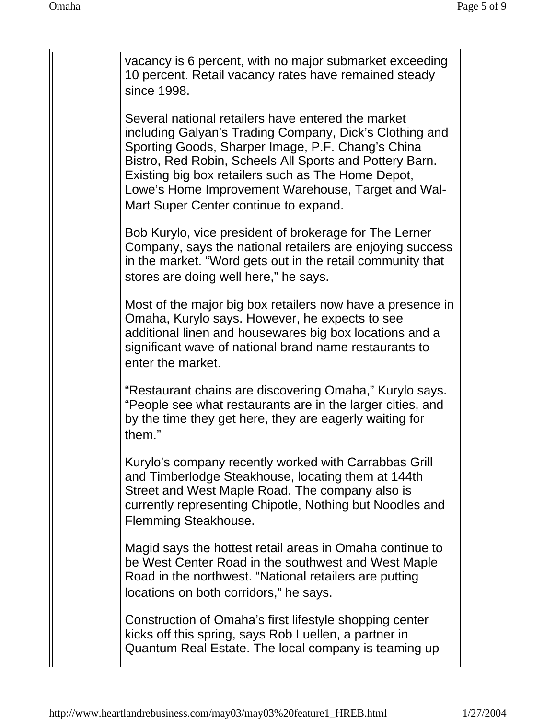vacancy is 6 percent, with no major submarket exceeding 10 percent. Retail vacancy rates have remained steady since 1998.

Several national retailers have entered the market including Galyan's Trading Company, Dick's Clothing and Sporting Goods, Sharper Image, P.F. Chang's China Bistro, Red Robin, Scheels All Sports and Pottery Barn. Existing big box retailers such as The Home Depot, Lowe's Home Improvement Warehouse, Target and Wal-Mart Super Center continue to expand.

Bob Kurylo, vice president of brokerage for The Lerner Company, says the national retailers are enjoying success in the market. "Word gets out in the retail community that stores are doing well here," he says.

Most of the major big box retailers now have a presence in Omaha, Kurylo says. However, he expects to see additional linen and housewares big box locations and a significant wave of national brand name restaurants to enter the market.

"Restaurant chains are discovering Omaha," Kurylo says. "People see what restaurants are in the larger cities, and by the time they get here, they are eagerly waiting for them."

Kurylo's company recently worked with Carrabbas Grill and Timberlodge Steakhouse, locating them at 144th Street and West Maple Road. The company also is currently representing Chipotle, Nothing but Noodles and Flemming Steakhouse.

Magid says the hottest retail areas in Omaha continue to be West Center Road in the southwest and West Maple Road in the northwest. "National retailers are putting locations on both corridors," he says.

Construction of Omaha's first lifestyle shopping center kicks off this spring, says Rob Luellen, a partner in Quantum Real Estate. The local company is teaming up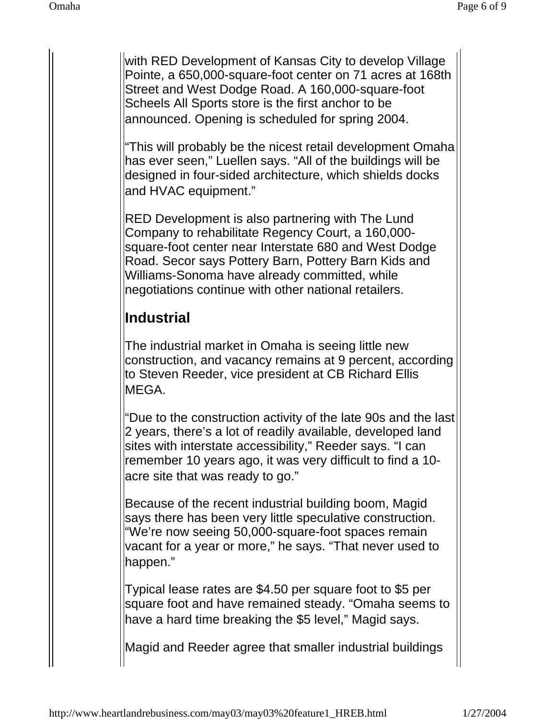with RED Development of Kansas City to develop Village Pointe, a 650,000-square-foot center on 71 acres at 168th Street and West Dodge Road. A 160,000-square-foot Scheels All Sports store is the first anchor to be announced. Opening is scheduled for spring 2004.

"This will probably be the nicest retail development Omaha has ever seen," Luellen says. "All of the buildings will be designed in four-sided architecture, which shields docks and HVAC equipment."

RED Development is also partnering with The Lund Company to rehabilitate Regency Court, a 160,000 square-foot center near Interstate 680 and West Dodge Road. Secor says Pottery Barn, Pottery Barn Kids and Williams-Sonoma have already committed, while negotiations continue with other national retailers.

## **Industrial**

The industrial market in Omaha is seeing little new construction, and vacancy remains at 9 percent, according to Steven Reeder, vice president at CB Richard Ellis MEGA.

"Due to the construction activity of the late 90s and the last 2 years, there's a lot of readily available, developed land sites with interstate accessibility," Reeder says. "I can remember 10 years ago, it was very difficult to find a 10 acre site that was ready to go."

Because of the recent industrial building boom, Magid says there has been very little speculative construction. "We're now seeing 50,000-square-foot spaces remain vacant for a year or more," he says. "That never used to happen."

Typical lease rates are \$4.50 per square foot to \$5 per square foot and have remained steady. "Omaha seems to have a hard time breaking the \$5 level," Magid says.

Magid and Reeder agree that smaller industrial buildings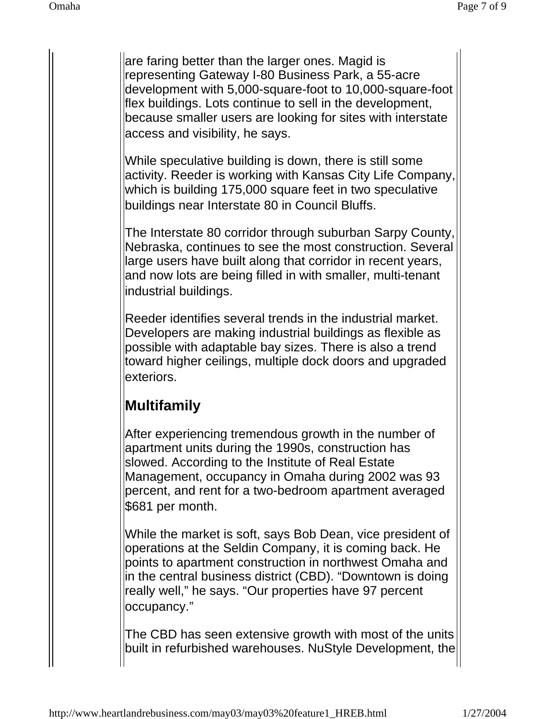are faring better than the larger ones. Magid is representing Gateway I-80 Business Park, a 55-acre development with 5,000-square-foot to 10,000-square-foot flex buildings. Lots continue to sell in the development, because smaller users are looking for sites with interstate access and visibility, he says.

While speculative building is down, there is still some activity. Reeder is working with Kansas City Life Company, which is building 175,000 square feet in two speculative buildings near Interstate 80 in Council Bluffs.

The Interstate 80 corridor through suburban Sarpy County, Nebraska, continues to see the most construction. Several large users have built along that corridor in recent years, and now lots are being filled in with smaller, multi-tenant industrial buildings.

Reeder identifies several trends in the industrial market. Developers are making industrial buildings as flexible as possible with adaptable bay sizes. There is also a trend toward higher ceilings, multiple dock doors and upgraded exteriors.

## **Multifamily**

After experiencing tremendous growth in the number of apartment units during the 1990s, construction has slowed. According to the Institute of Real Estate Management, occupancy in Omaha during 2002 was 93 percent, and rent for a two-bedroom apartment averaged \$681 per month.

While the market is soft, says Bob Dean, vice president of operations at the Seldin Company, it is coming back. He points to apartment construction in northwest Omaha and in the central business district (CBD). "Downtown is doing really well," he says. "Our properties have 97 percent occupancy."

The CBD has seen extensive growth with most of the units built in refurbished warehouses. NuStyle Development, the